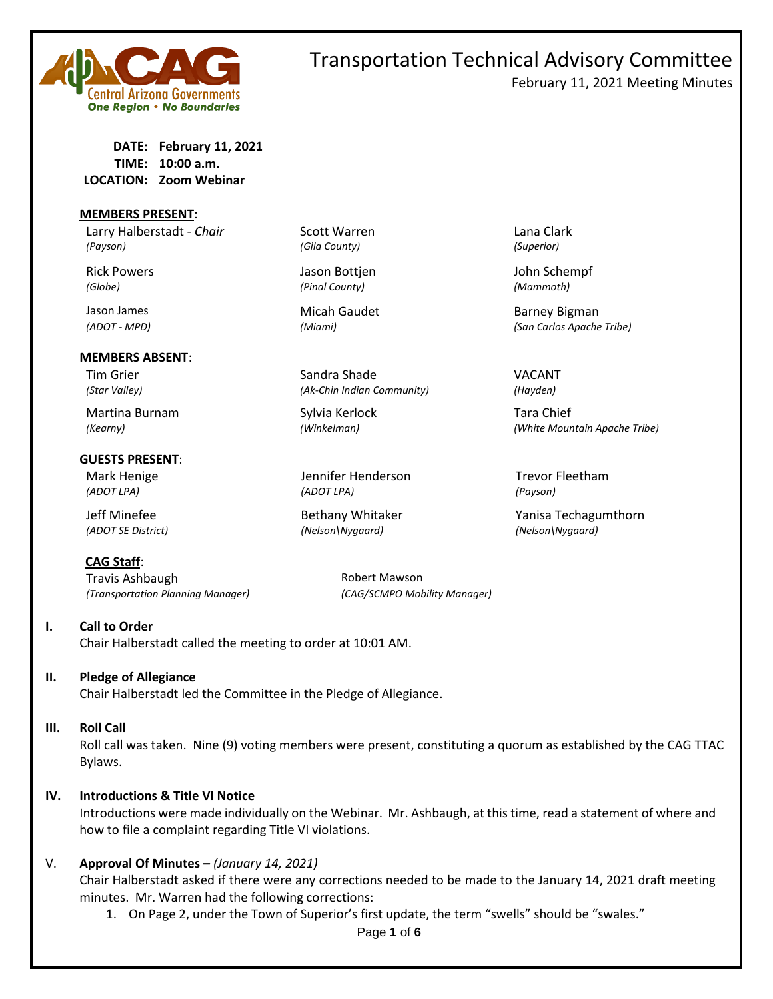

## Transportation Technical Advisory Committee February 11, 2021 Meeting Minutes

**DATE: February 11, 2021 TIME: 10:00 a.m. LOCATION: Zoom Webinar**

#### **MEMBERS PRESENT**:

Larry Halberstadt - *Chair* Scott Warren **Lana Clark** Lana Clark *(Payson) (Gila County) (Superior)*

#### **MEMBERS ABSENT**:

Martina Burnam Sylvia Kerlock Tara Chief

#### **GUESTS PRESENT**:

**CAG Staff**: Travis Ashbaugh **Robert Mawson** *(Transportation Planning Manager) (CAG/SCMPO Mobility Manager)*

#### **I. Call to Order**

Chair Halberstadt called the meeting to order at 10:01 AM.

#### **II. Pledge of Allegiance**

Chair Halberstadt led the Committee in the Pledge of Allegiance.

#### **III. Roll Call**

Roll call was taken. Nine (9) voting members were present, constituting a quorum as established by the CAG TTAC Bylaws.

#### **IV. Introductions & Title VI Notice**

Introductions were made individually on the Webinar. Mr. Ashbaugh, at this time, read a statement of where and how to file a complaint regarding Title VI violations.

#### V. **Approval Of Minutes –** *(January 14, 2021)*

Chair Halberstadt asked if there were any corrections needed to be made to the January 14, 2021 draft meeting minutes. Mr. Warren had the following corrections:

1. On Page 2, under the Town of Superior's first update, the term "swells" should be "swales."

*(ADOT - MPD) (Miami) (San Carlos Apache Tribe)*

*(Kearny) (Winkelman) (White Mountain Apache Tribe)*

Jeff Minefee The Bethany Whitaker The Yanisa Techagumthorn

Tim Grier National Sandra Shade Shade VACANT *(Star Valley) (Ak-Chin Indian Community) (Hayden)*

Mark Henige Trevor Fleetham Jennifer Henderson Trevor Fleetham *(ADOT LPA) (ADOT LPA) (Payson)*

*(ADOT SE District) (Nelson\Nygaard) (Nelson\Nygaard)*

## Rick Powers **National Accord Bottjen** Jason Bottjen John Schempf *(Globe) (Pinal County) (Mammoth)* Jason James Micah Gaudet Barney Bigman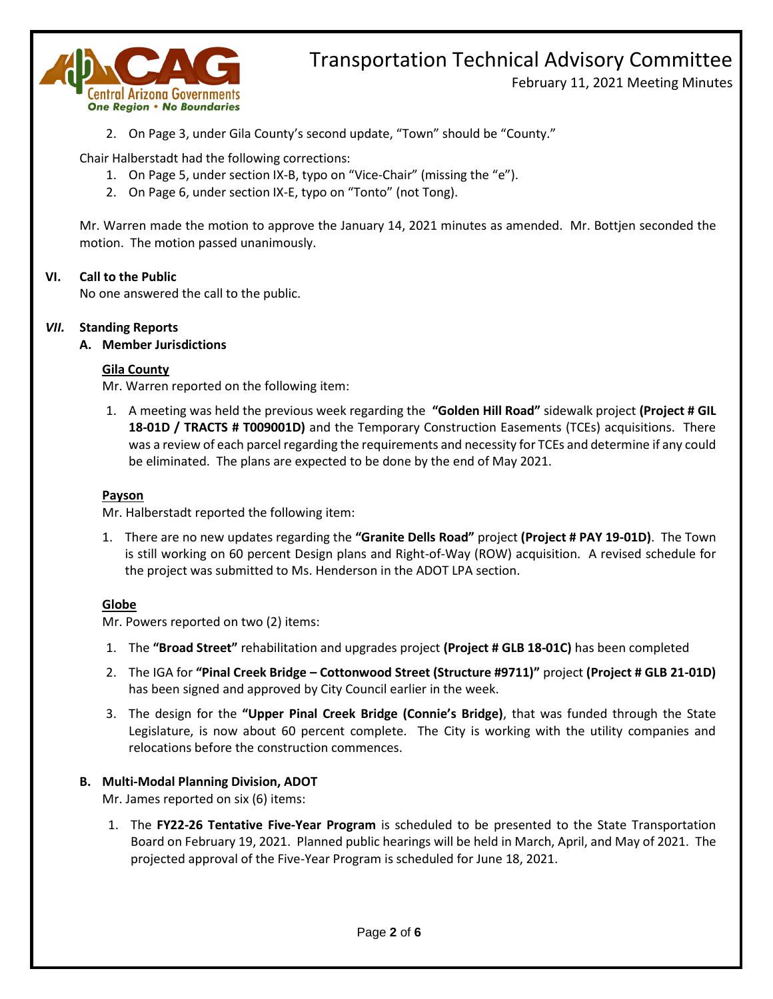

February 11, 2021 Meeting Minutes

2. On Page 3, under Gila County's second update, "Town" should be "County."

Chair Halberstadt had the following corrections:

- 1. On Page 5, under section IX-B, typo on "Vice-Chair" (missing the "e").
- 2. On Page 6, under section IX-E, typo on "Tonto" (not Tong).

Mr. Warren made the motion to approve the January 14, 2021 minutes as amended. Mr. Bottjen seconded the motion. The motion passed unanimously.

### **VI. Call to the Public**

No one answered the call to the public.

#### *VII.* **Standing Reports**

**A. Member Jurisdictions**

#### **Gila County**

Mr. Warren reported on the following item:

1. A meeting was held the previous week regarding the **"Golden Hill Road"** sidewalk project **(Project # GIL 18-01D / TRACTS # T009001D)** and the Temporary Construction Easements (TCEs) acquisitions. There was a review of each parcel regarding the requirements and necessity for TCEs and determine if any could be eliminated. The plans are expected to be done by the end of May 2021.

#### **Payson**

Mr. Halberstadt reported the following item:

1. There are no new updates regarding the **"Granite Dells Road"** project **(Project # PAY 19-01D)**. The Town is still working on 60 percent Design plans and Right-of-Way (ROW) acquisition. A revised schedule for the project was submitted to Ms. Henderson in the ADOT LPA section.

#### **Globe**

Mr. Powers reported on two (2) items:

- 1. The **"Broad Street"** rehabilitation and upgrades project **(Project # GLB 18-01C)** has been completed
- 2. The IGA for **"Pinal Creek Bridge – Cottonwood Street (Structure #9711)"** project **(Project # GLB 21-01D)** has been signed and approved by City Council earlier in the week.
- 3. The design for the **"Upper Pinal Creek Bridge (Connie's Bridge)**, that was funded through the State Legislature, is now about 60 percent complete. The City is working with the utility companies and relocations before the construction commences.

### **B. Multi-Modal Planning Division, ADOT**

Mr. James reported on six (6) items:

1. The **FY22-26 Tentative Five-Year Program** is scheduled to be presented to the State Transportation Board on February 19, 2021. Planned public hearings will be held in March, April, and May of 2021. The projected approval of the Five-Year Program is scheduled for June 18, 2021.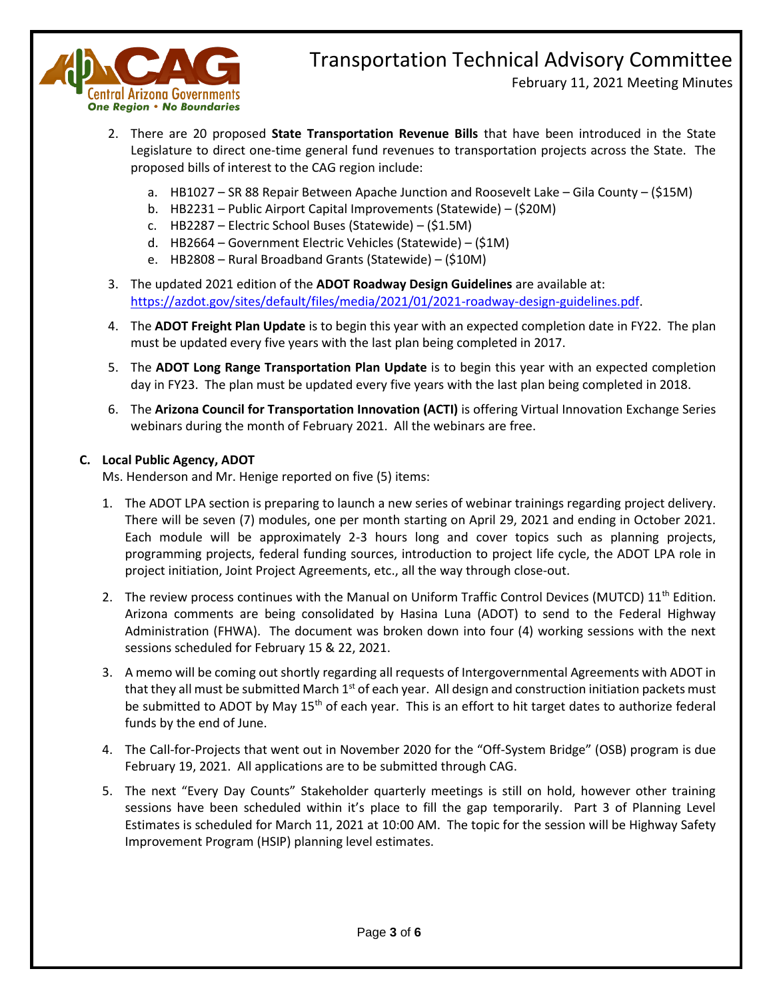

February 11, 2021 Meeting Minutes

- 2. There are 20 proposed **State Transportation Revenue Bills** that have been introduced in the State Legislature to direct one-time general fund revenues to transportation projects across the State. The proposed bills of interest to the CAG region include:
	- a. HB1027 SR 88 Repair Between Apache Junction and Roosevelt Lake Gila County (\$15M)
	- b. HB2231 Public Airport Capital Improvements (Statewide) (\$20M)
	- c. HB2287 Electric School Buses (Statewide) (\$1.5M)
	- d. HB2664 Government Electric Vehicles (Statewide) (\$1M)
	- e. HB2808 Rural Broadband Grants (Statewide) (\$10M)
- 3. The updated 2021 edition of the **ADOT Roadway Design Guidelines** are available at: [https://azdot.gov/sites/default/files/media/2021/01/2021-roadway-design-guidelines.pdf.](https://azdot.gov/sites/default/files/media/2021/01/2021-roadway-design-guidelines.pdf)
- 4. The **ADOT Freight Plan Update** is to begin this year with an expected completion date in FY22. The plan must be updated every five years with the last plan being completed in 2017.
- 5. The **ADOT Long Range Transportation Plan Update** is to begin this year with an expected completion day in FY23. The plan must be updated every five years with the last plan being completed in 2018.
- 6. The **Arizona Council for Transportation Innovation (ACTI)** is offering Virtual Innovation Exchange Series webinars during the month of February 2021. All the webinars are free.

### **C. Local Public Agency, ADOT**

Ms. Henderson and Mr. Henige reported on five (5) items:

- 1. The ADOT LPA section is preparing to launch a new series of webinar trainings regarding project delivery. There will be seven (7) modules, one per month starting on April 29, 2021 and ending in October 2021. Each module will be approximately 2-3 hours long and cover topics such as planning projects, programming projects, federal funding sources, introduction to project life cycle, the ADOT LPA role in project initiation, Joint Project Agreements, etc., all the way through close-out.
- 2. The review process continues with the Manual on Uniform Traffic Control Devices (MUTCD)  $11^{th}$  Edition. Arizona comments are being consolidated by Hasina Luna (ADOT) to send to the Federal Highway Administration (FHWA). The document was broken down into four (4) working sessions with the next sessions scheduled for February 15 & 22, 2021.
- 3. A memo will be coming out shortly regarding all requests of Intergovernmental Agreements with ADOT in that they all must be submitted March  $1<sup>st</sup>$  of each year. All design and construction initiation packets must be submitted to ADOT by May 15<sup>th</sup> of each year. This is an effort to hit target dates to authorize federal funds by the end of June.
- 4. The Call-for-Projects that went out in November 2020 for the "Off-System Bridge" (OSB) program is due February 19, 2021. All applications are to be submitted through CAG.
- 5. The next "Every Day Counts" Stakeholder quarterly meetings is still on hold, however other training sessions have been scheduled within it's place to fill the gap temporarily. Part 3 of Planning Level Estimates is scheduled for March 11, 2021 at 10:00 AM. The topic for the session will be Highway Safety Improvement Program (HSIP) planning level estimates.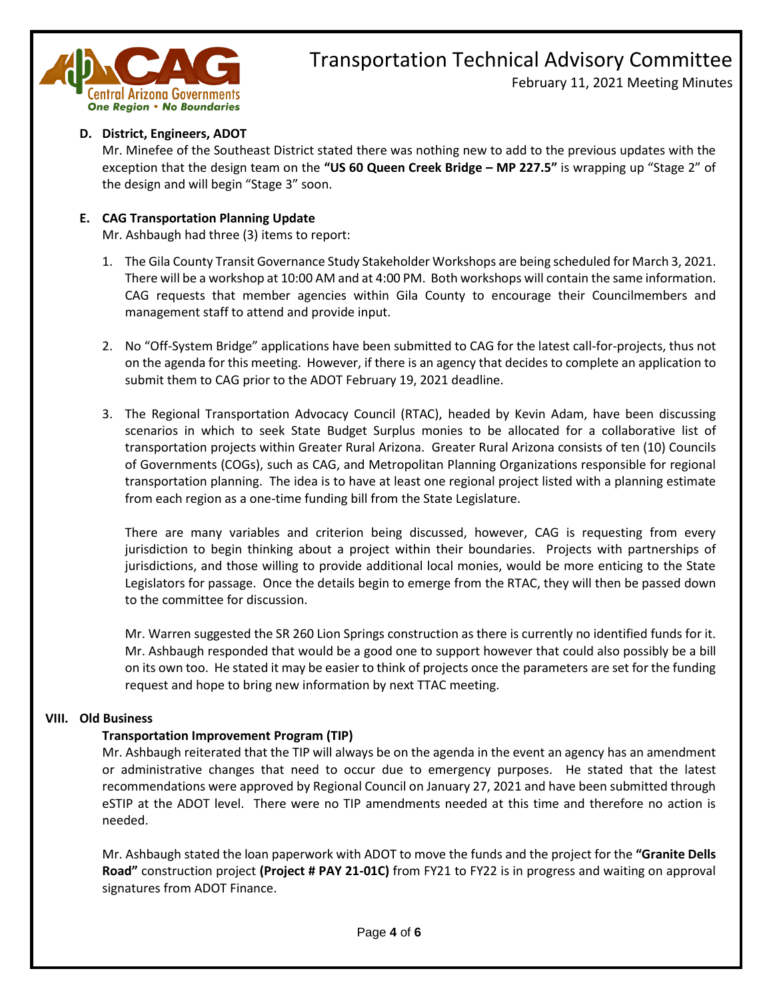

February 11, 2021 Meeting Minutes

## **D. District, Engineers, ADOT**

Mr. Minefee of the Southeast District stated there was nothing new to add to the previous updates with the exception that the design team on the **"US 60 Queen Creek Bridge – MP 227.5"** is wrapping up "Stage 2" of the design and will begin "Stage 3" soon.

### **E. CAG Transportation Planning Update**

Mr. Ashbaugh had three (3) items to report:

- 1. The Gila County Transit Governance Study Stakeholder Workshops are being scheduled for March 3, 2021. There will be a workshop at 10:00 AM and at 4:00 PM. Both workshops will contain the same information. CAG requests that member agencies within Gila County to encourage their Councilmembers and management staff to attend and provide input.
- 2. No "Off-System Bridge" applications have been submitted to CAG for the latest call-for-projects, thus not on the agenda for this meeting. However, if there is an agency that decides to complete an application to submit them to CAG prior to the ADOT February 19, 2021 deadline.
- 3. The Regional Transportation Advocacy Council (RTAC), headed by Kevin Adam, have been discussing scenarios in which to seek State Budget Surplus monies to be allocated for a collaborative list of transportation projects within Greater Rural Arizona. Greater Rural Arizona consists of ten (10) Councils of Governments (COGs), such as CAG, and Metropolitan Planning Organizations responsible for regional transportation planning. The idea is to have at least one regional project listed with a planning estimate from each region as a one-time funding bill from the State Legislature.

There are many variables and criterion being discussed, however, CAG is requesting from every jurisdiction to begin thinking about a project within their boundaries. Projects with partnerships of jurisdictions, and those willing to provide additional local monies, would be more enticing to the State Legislators for passage. Once the details begin to emerge from the RTAC, they will then be passed down to the committee for discussion.

Mr. Warren suggested the SR 260 Lion Springs construction as there is currently no identified funds for it. Mr. Ashbaugh responded that would be a good one to support however that could also possibly be a bill on its own too. He stated it may be easier to think of projects once the parameters are set for the funding request and hope to bring new information by next TTAC meeting.

### **VIII. Old Business**

### **Transportation Improvement Program (TIP)**

Mr. Ashbaugh reiterated that the TIP will always be on the agenda in the event an agency has an amendment or administrative changes that need to occur due to emergency purposes. He stated that the latest recommendations were approved by Regional Council on January 27, 2021 and have been submitted through eSTIP at the ADOT level. There were no TIP amendments needed at this time and therefore no action is needed.

Mr. Ashbaugh stated the loan paperwork with ADOT to move the funds and the project for the **"Granite Dells Road"** construction project **(Project # PAY 21-01C)** from FY21 to FY22 is in progress and waiting on approval signatures from ADOT Finance.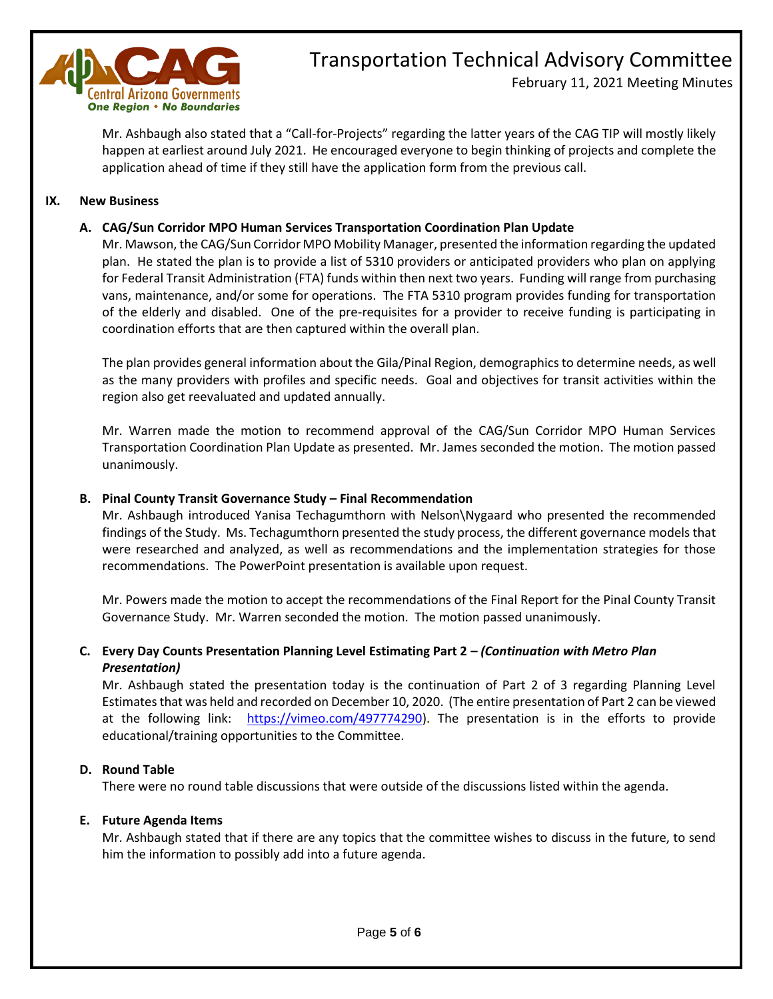

February 11, 2021 Meeting Minutes

Mr. Ashbaugh also stated that a "Call-for-Projects" regarding the latter years of the CAG TIP will mostly likely happen at earliest around July 2021. He encouraged everyone to begin thinking of projects and complete the application ahead of time if they still have the application form from the previous call.

### **IX. New Business**

## **A. CAG/Sun Corridor MPO Human Services Transportation Coordination Plan Update**

Mr. Mawson, the CAG/Sun Corridor MPO Mobility Manager, presented the information regarding the updated plan. He stated the plan is to provide a list of 5310 providers or anticipated providers who plan on applying for Federal Transit Administration (FTA) funds within then next two years. Funding will range from purchasing vans, maintenance, and/or some for operations. The FTA 5310 program provides funding for transportation of the elderly and disabled. One of the pre-requisites for a provider to receive funding is participating in coordination efforts that are then captured within the overall plan.

The plan provides general information about the Gila/Pinal Region, demographics to determine needs, as well as the many providers with profiles and specific needs. Goal and objectives for transit activities within the region also get reevaluated and updated annually.

Mr. Warren made the motion to recommend approval of the CAG/Sun Corridor MPO Human Services Transportation Coordination Plan Update as presented. Mr. James seconded the motion. The motion passed unanimously.

### **B. Pinal County Transit Governance Study – Final Recommendation**

Mr. Ashbaugh introduced Yanisa Techagumthorn with Nelson\Nygaard who presented the recommended findings of the Study. Ms. Techagumthorn presented the study process, the different governance models that were researched and analyzed, as well as recommendations and the implementation strategies for those recommendations. The PowerPoint presentation is available upon request.

Mr. Powers made the motion to accept the recommendations of the Final Report for the Pinal County Transit Governance Study. Mr. Warren seconded the motion. The motion passed unanimously.

## **C. Every Day Counts Presentation Planning Level Estimating Part 2 –** *(Continuation with Metro Plan Presentation)*

Mr. Ashbaugh stated the presentation today is the continuation of Part 2 of 3 regarding Planning Level Estimates that was held and recorded on December 10, 2020. (The entire presentation of Part 2 can be viewed at the following link: [https://vimeo.com/497774290\)](https://vimeo.com/497774290). The presentation is in the efforts to provide educational/training opportunities to the Committee.

### **D. Round Table**

There were no round table discussions that were outside of the discussions listed within the agenda.

#### **E. Future Agenda Items**

Mr. Ashbaugh stated that if there are any topics that the committee wishes to discuss in the future, to send him the information to possibly add into a future agenda.